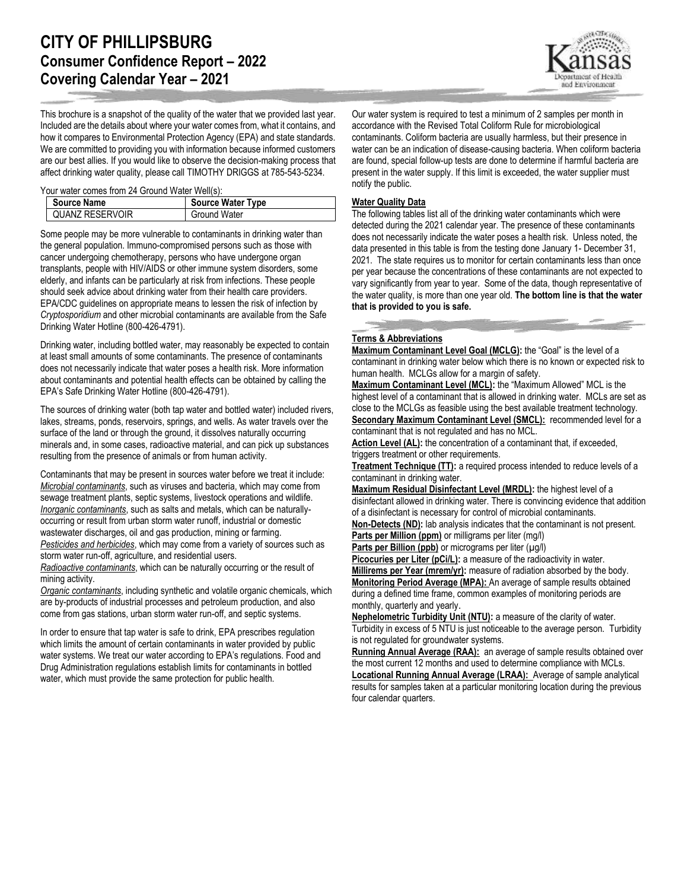This brochure is a snapshot of the quality of the water that we provided last year. Included are the details about where your water comes from, what it contains, and how it compares to Environmental Protection Agency (EPA) and state standards. We are committed to providing you with information because informed customers are our best allies. If you would like to observe the decision-making process that affect drinking water quality, please call TIMOTHY DRIGGS at 785-543-5234.

Your water comes from 24 Ground Water Well(s):

| <b>Source Name</b> | <b>Source Water Type</b> |
|--------------------|--------------------------|
| QUANZ RESERVOIR    | Ground Water             |

Some people may be more vulnerable to contaminants in drinking water than the general population. Immuno-compromised persons such as those with cancer undergoing chemotherapy, persons who have undergone organ transplants, people with HIV/AIDS or other immune system disorders, some elderly, and infants can be particularly at risk from infections. These people should seek advice about drinking water from their health care providers. EPA/CDC guidelines on appropriate means to lessen the risk of infection by *Cryptosporidium* and other microbial contaminants are available from the Safe Drinking Water Hotline (800-426-4791).

Drinking water, including bottled water, may reasonably be expected to contain at least small amounts of some contaminants. The presence of contaminants does not necessarily indicate that water poses a health risk. More information about contaminants and potential health effects can be obtained by calling the EPA's Safe Drinking Water Hotline (800-426-4791).

The sources of drinking water (both tap water and bottled water) included rivers, lakes, streams, ponds, reservoirs, springs, and wells. As water travels over the surface of the land or through the ground, it dissolves naturally occurring minerals and, in some cases, radioactive material, and can pick up substances resulting from the presence of animals or from human activity.

Contaminants that may be present in sources water before we treat it include: *Microbial contaminants*, such as viruses and bacteria, which may come from sewage treatment plants, septic systems, livestock operations and wildlife. *Inorganic contaminants*, such as salts and metals, which can be naturallyoccurring or result from urban storm water runoff, industrial or domestic wastewater discharges, oil and gas production, mining or farming. *Pesticides and herbicides*, which may come from a variety of sources such as storm water run-off, agriculture, and residential users.

*Radioactive contaminants*, which can be naturally occurring or the result of mining activity.

*Organic contaminants*, including synthetic and volatile organic chemicals, which are by-products of industrial processes and petroleum production, and also come from gas stations, urban storm water run-off, and septic systems.

In order to ensure that tap water is safe to drink, EPA prescribes regulation which limits the amount of certain contaminants in water provided by public water systems. We treat our water according to EPA's regulations. Food and Drug Administration regulations establish limits for contaminants in bottled water, which must provide the same protection for public health.

Our water system is required to test a minimum of 2 samples per month in accordance with the Revised Total Coliform Rule for microbiological contaminants. Coliform bacteria are usually harmless, but their presence in water can be an indication of disease-causing bacteria. When coliform bacteria are found, special follow-up tests are done to determine if harmful bacteria are present in the water supply. If this limit is exceeded, the water supplier must notify the public.

## **Water Quality Data**

The following tables list all of the drinking water contaminants which were detected during the 2021 calendar year. The presence of these contaminants does not necessarily indicate the water poses a health risk. Unless noted, the data presented in this table is from the testing done January 1- December 31, 2021. The state requires us to monitor for certain contaminants less than once per year because the concentrations of these contaminants are not expected to vary significantly from year to year. Some of the data, though representative of the water quality, is more than one year old. **The bottom line is that the water that is provided to you is safe.**

## **Terms & Abbreviations**

**Maximum Contaminant Level Goal (MCLG):** the "Goal" is the level of a contaminant in drinking water below which there is no known or expected risk to human health. MCLGs allow for a margin of safety.

**Maximum Contaminant Level (MCL):** the "Maximum Allowed" MCL is the highest level of a contaminant that is allowed in drinking water. MCLs are set as close to the MCLGs as feasible using the best available treatment technology. **Secondary Maximum Contaminant Level (SMCL):** recommended level for a contaminant that is not regulated and has no MCL.

Action Level (AL): the concentration of a contaminant that, if exceeded, triggers treatment or other requirements.

**Treatment Technique (TT):** a required process intended to reduce levels of a contaminant in drinking water.

**Maximum Residual Disinfectant Level (MRDL):** the highest level of a disinfectant allowed in drinking water. There is convincing evidence that addition of a disinfectant is necessary for control of microbial contaminants.

**Non-Detects (ND):** lab analysis indicates that the contaminant is not present. **Parts per Million (ppm)** or milligrams per liter (mg/l)

**Parts per Billion (ppb)** or micrograms per liter (µg/l)

**Picocuries per Liter (pCi/L):** a measure of the radioactivity in water.

**Millirems per Year (mrem/yr):** measure of radiation absorbed by the body. **Monitoring Period Average (MPA):** An average of sample results obtained during a defined time frame, common examples of monitoring periods are monthly, quarterly and yearly.

**Nephelometric Turbidity Unit (NTU):** a measure of the clarity of water. Turbidity in excess of 5 NTU is just noticeable to the average person. Turbidity is not regulated for groundwater systems.

**Running Annual Average (RAA):** an average of sample results obtained over the most current 12 months and used to determine compliance with MCLs.

**Locational Running Annual Average (LRAA):** Average of sample analytical results for samples taken at a particular monitoring location during the previous four calendar quarters.